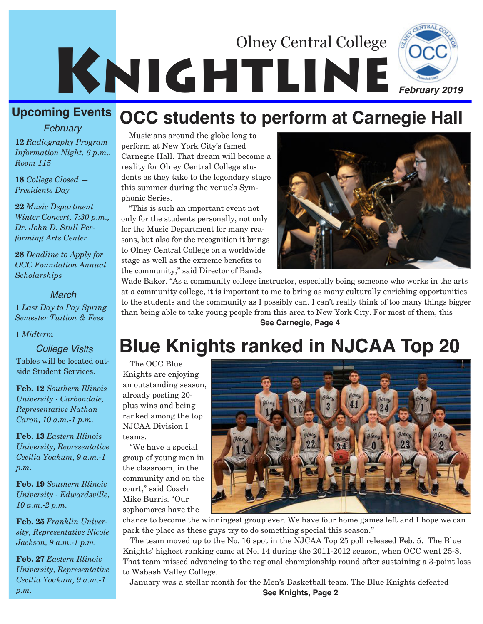

#### **Upcoming Events**

*February*

**12** *Radiography Program Information Night, 6 p.m., Room 115*

**18** *College Closed — Presidents Day*

**22** *Music Department Winter Concert, 7:30 p.m., Dr. John D. Stull Performing Arts Center*

**28** *Deadline to Apply for OCC Foundation Annual Scholarships*

*March*

**1** *Last Day to Pay Spring Semester Tuition & Fees*

#### **1** *Midterm*

Tables will be located outside Student Services.

**Feb. 12** *Southern Illinois University - Carbondale, Representative Nathan Caron, 10 a.m.-1 p.m.*

**Feb. 13** *Eastern Illinois University, Representative Cecilia Yoakum, 9 a.m.-1 p.m.*

**Feb. 19** *Southern Illinois University - Edwardsville, 10 a.m.-2 p.m.*

**Feb. 25** *Franklin University, Representative Nicole Jackson, 9 a.m.-1 p.m.*

**Feb. 27** *Eastern Illinois University, Representative Cecilia Yoakum, 9 a.m.-1 p.m.*

#### Musicians around the globe long to perform at New York City's famed Carnegie Hall. That dream will become a reality for Olney Central College students as they take to the legendary stage this summer during the venue's Symphonic Series.

"This is such an important event not only for the students personally, not only for the Music Department for many reasons, but also for the recognition it brings to Olney Central College on a worldwide stage as well as the extreme benefits to the community," said Director of Bands



Wade Baker. "As a community college instructor, especially being someone who works in the arts at a community college, it is important to me to bring as many culturally enriching opportunities to the students and the community as I possibly can. I can't really think of too many things bigger than being able to take young people from this area to New York City. For most of them, this **See Carnegie, Page 4**

**OCC students to perform at Carnegie Hall**

# *College Visits* **Blue Knights ranked in NJCAA Top 20**

The OCC Blue Knights are enjoying an outstanding season, already posting 20 plus wins and being ranked among the top NJCAA Division I teams.

"We have a special group of young men in the classroom, in the community and on the court," said Coach Mike Burris. "Our sophomores have the



chance to become the winningest group ever. We have four home games left and I hope we can pack the place as these guys try to do something special this season."

The team moved up to the No. 16 spot in the NJCAA Top 25 poll released Feb. 5. The Blue Knights' highest ranking came at No. 14 during the 2011-2012 season, when OCC went 25-8. That team missed advancing to the regional championship round after sustaining a 3-point loss to Wabash Valley College.

January was a stellar month for the Men's Basketball team. The Blue Knights defeated **See Knights, Page 2**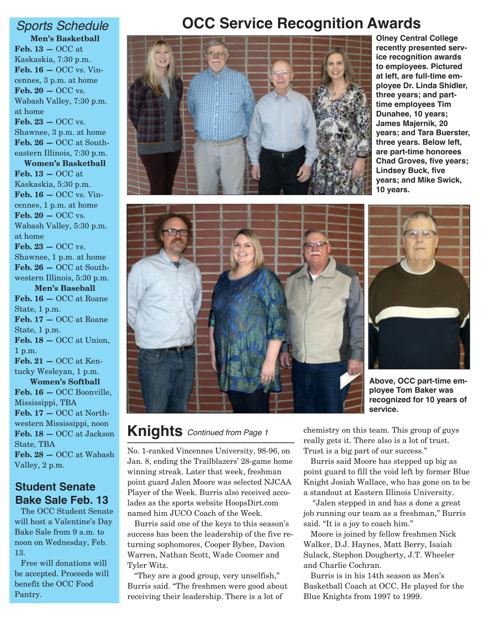**Men's Basketball Feb. 13 —** OCC at Kaskaskia, 7:30 p.m. **Feb. 16 —** OCC vs. Vincennes, 3 p.m. at home **Feb. 20 —** OCC vs. Wabash Valley, 7:30 p.m. at home **Feb. 23 —** OCC vs. Shawnee, 3 p.m. at home **Feb. 26 —** OCC at Southeastern Illinois, 7:30 p.m. **Women's Basketball Feb. 13 —** OCC at Kaskaskia, 5:30 p.m. **Feb. 16 —** OCC vs. Vincennes, 1 p.m. at home **Feb. 20 —** OCC vs. Wabash Valley, 5:30 p.m. at home **Feb. 23 —** OCC vs. Shawnee, 1 p.m. at home **Feb. 26 —** OCC at Southwestern Illinois, 5:30 p.m. **Men's Baseball Feb. 16 —** OCC at Roane State, 1 p.m. **Feb. 17 —** OCC at Roane State, 1 p.m. **Feb. 18 —** OCC at Union, 1 p.m. **Feb. 21 —** OCC at Kentucky Wesleyan, 1 p.m. **Women's Softball Feb. 16 —** OCC Boonville, Mississippi, TBA **Feb. 17 —** OCC at Northwestern Mississippi, noon **Feb. 18 —** OCC at Jackson

State, TBA **Feb. 28 —** OCC at Wabash Valley, 2 p.m.

#### **Student Senate Bake Sale Feb. 13**

The OCC Student Senate will host a Valentine's Day Bake Sale from 9 a.m. to noon on Wednesday, Feb. 13.

Free will donations will be accepted. Proceeds will benefit the OCC Food Pantry.

# *Sports Schedule* **OCC Service Recognition Awards**



**Olney Central College recently presented service recognition awards to employees. Pictured at left, are full-time employee Dr. Linda Shidler, three years; and parttime employees Tim Dunahee, 10 years; James Majernik, 20 years; and Tara Buerster, three years. Below left, are part-time honorees Chad Groves, five years; Lindsey Buck, five years; and Mike Swick, 10 years.** 





**Above, OCC part-time employee Tom Baker was recognized for 10 years of service.**

#### **Knights** *Continued from Page 1*

No. 1-ranked Vincennes University, 98-96, on Jan. 8, ending the Trailblazers' 28-game home winning streak. Later that week, freshman point guard Jalen Moore was selected NJCAA Player of the Week. Burris also received accolades as the sports website HoopsDirt.com named him JUCO Coach of the Week.

Burris said one of the keys to this season's success has been the leadership of the five returning sophomores, Cooper Bybee, Davion Warren, Nathan Scott, Wade Coomer and Tyler Witz.

"They are a good group, very unselfish," Burris said. "The freshmen were good about receiving their leadership. There is a lot of

chemistry on this team. This group of guys really gets it. There also is a lot of trust. Trust is a big part of our success."

Burris said Moore has stepped up big as point guard to fill the void left by former Blue Knight Josiah Wallace, who has gone on to be a standout at Eastern Illinois University.

"Jalen stepped in and has a done a great job running our team as a freshman," Burris said. "It is a joy to coach him."

Moore is joined by fellow freshmen Nick Walker, D.J. Haynes, Matt Berry, Isaiah Sulack, Stephon Dougherty, J.T. Wheeler and Charlie Cochran.

Burris is in his 14th season as Men's Basketball Coach at OCC. He played for the Blue Knights from 1997 to 1999.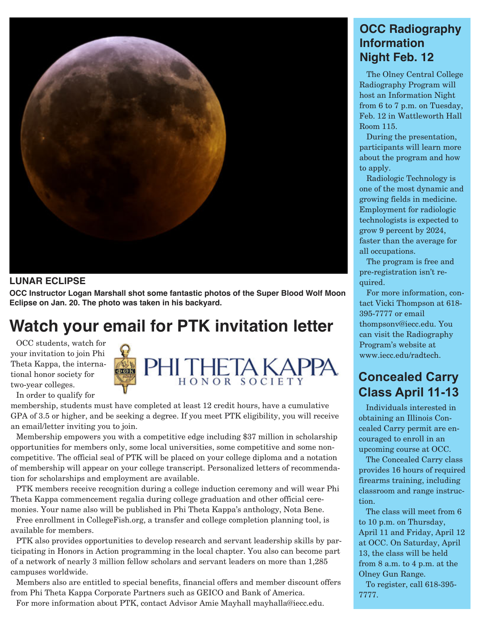

#### **LUNAR ECLIPSE**

**OCC Instructor Logan Marshall shot some fantastic photos of the Super Blood Wolf Moon Eclipse on Jan. 20. The photo was taken in his backyard.**

# **Watch your email for PTK invitation letter**

OCC students, watch for your invitation to join Phi Theta Kappa, the international honor society for two-year colleges.

PHITHETA KAPPA **COR** HONOR SOCIETY

In order to qualify for membership, students must have completed at least 12 credit hours, have a cumulative GPA of 3.5 or higher, and be seeking a degree. If you meet PTK eligibility, you will receive an email/letter inviting you to join.

Membership empowers you with a competitive edge including \$37 million in scholarship opportunities for members only, some local universities, some competitive and some noncompetitive. The official seal of PTK will be placed on your college diploma and a notation of membership will appear on your college transcript. Personalized letters of recommendation for scholarships and employment are available.

PTK members receive recognition during a college induction ceremony and will wear Phi Theta Kappa commencement regalia during college graduation and other official ceremonies. Your name also will be published in Phi Theta Kappa's anthology, Nota Bene.

Free enrollment in CollegeFish.org, a transfer and college completion planning tool, is available for members.

PTK also provides opportunities to develop research and servant leadership skills by participating in Honors in Action programming in the local chapter. You also can become part of a network of nearly 3 million fellow scholars and servant leaders on more than 1,285 campuses worldwide.

Members also are entitled to special benefits, financial offers and member discount offers from Phi Theta Kappa Corporate Partners such as GEICO and Bank of America.

For more information about PTK, contact Advisor Amie Mayhall mayhalla@iecc.edu.

#### **OCC Radiography Information Night Feb. 12**

The Olney Central College Radiography Program will host an Information Night from 6 to 7 p.m. on Tuesday, Feb. 12 in Wattleworth Hall Room 115.

During the presentation, participants will learn more about the program and how to apply.

Radiologic Technology is one of the most dynamic and growing fields in medicine. Employment for radiologic technologists is expected to grow 9 percent by 2024, faster than the average for all occupations.

The program is free and pre-registration isn't required.

For more information, contact Vicki Thompson at 618- 395-7777 or email thompsonv@iecc.edu. You can visit the Radiography Program's website at www.iecc.edu/radtech.

#### **Concealed Carry Class April 11-13**

Individuals interested in obtaining an Illinois Concealed Carry permit are encouraged to enroll in an upcoming course at OCC.

The Concealed Carry class provides 16 hours of required firearms training, including classroom and range instruction.

The class will meet from 6 to 10 p.m. on Thursday, April 11 and Friday, April 12 at OCC. On Saturday, April 13, the class will be held from 8 a.m. to 4 p.m. at the Olney Gun Range.

To register, call 618-395- 7777.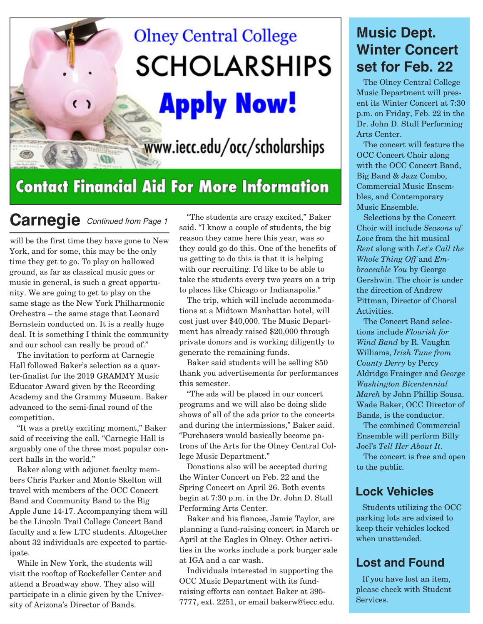# **Olney Central College SCHOLARSHIPS**

**Apply Now!** 

www.iecc.edu/occ/scholarships

# **Contact Financial Aid For More Information**

**Carnegie** *Continued from Page 1*

 $\overline{\mathbb{Q}}$ 

will be the first time they have gone to New York, and for some, this may be the only time they get to go. To play on hallowed ground, as far as classical music goes or music in general, is such a great opportunity. We are going to get to play on the same stage as the New York Philharmonic Orchestra – the same stage that Leonard Bernstein conducted on. It is a really huge deal. It is something I think the community and our school can really be proud of."

The invitation to perform at Carnegie Hall followed Baker's selection as a quarter-finalist for the 2019 GRAMMY Music Educator Award given by the Recording Academy and the Grammy Museum. Baker advanced to the semi-final round of the competition.

"It was a pretty exciting moment," Baker said of receiving the call. "Carnegie Hall is arguably one of the three most popular concert halls in the world."

Baker along with adjunct faculty members Chris Parker and Monte Skelton will travel with members of the OCC Concert Band and Community Band to the Big Apple June 14-17. Accompanying them will be the Lincoln Trail College Concert Band faculty and a few LTC students. Altogether about 32 individuals are expected to participate.

While in New York, the students will visit the rooftop of Rockefeller Center and attend a Broadway show. They also will participate in a clinic given by the University of Arizona's Director of Bands.

"The students are crazy excited," Baker said. "I know a couple of students, the big reason they came here this year, was so they could go do this. One of the benefits of us getting to do this is that it is helping with our recruiting. I'd like to be able to take the students every two years on a trip to places like Chicago or Indianapolis."

The trip, which will include accommodations at a Midtown Manhattan hotel, will cost just over \$40,000. The Music Department has already raised \$20,000 through private donors and is working diligently to generate the remaining funds.

Baker said students will be selling \$50 thank you advertisements for performances this semester.

"The ads will be placed in our concert programs and we will also be doing slide shows of all of the ads prior to the concerts and during the intermissions," Baker said. "Purchasers would basically become patrons of the Arts for the Olney Central College Music Department."

Donations also will be accepted during the Winter Concert on Feb. 22 and the Spring Concert on April 26. Both events begin at 7:30 p.m. in the Dr. John D. Stull Performing Arts Center.

Baker and his fiancee, Jamie Taylor, are planning a fund-raising concert in March or April at the Eagles in Olney. Other activities in the works include a pork burger sale at IGA and a car wash.

Individuals interested in supporting the OCC Music Department with its fundraising efforts can contact Baker at 395- 7777, ext. 2251, or email bakerw@iecc.edu.

### **Music Dept. Winter Concert set for Feb. 22**

The Olney Central College Music Department will present its Winter Concert at 7:30 p.m. on Friday, Feb. 22 in the Dr. John D. Stull Performing Arts Center.

The concert will feature the OCC Concert Choir along with the OCC Concert Band, Big Band & Jazz Combo, Commercial Music Ensembles, and Contemporary Music Ensemble.

Selections by the Concert Choir will include *Seasons of Love* from the hit musical *Rent* along with *Let's Call the Whole Thing Off* and *Embraceable You* by George Gershwin. The choir is under the direction of Andrew Pittman, Director of Choral Activities.

The Concert Band selections include *Flourish for Wind Band* by R. Vaughn Williams, *Irish Tune from County Derry* by Percy Aldridge Frainger and *George Washington Bicentennial March* by John Phillip Sousa. Wade Baker, OCC Director of Bands, is the conductor.

The combined Commercial Ensemble will perform Billy Joel's *Tell Her About It*.

The concert is free and open to the public.

#### **Lock Vehicles**

Students utilizing the OCC parking lots are advised to keep their vehicles locked when unattended.

#### **Lost and Found**

If you have lost an item, please check with Student Services.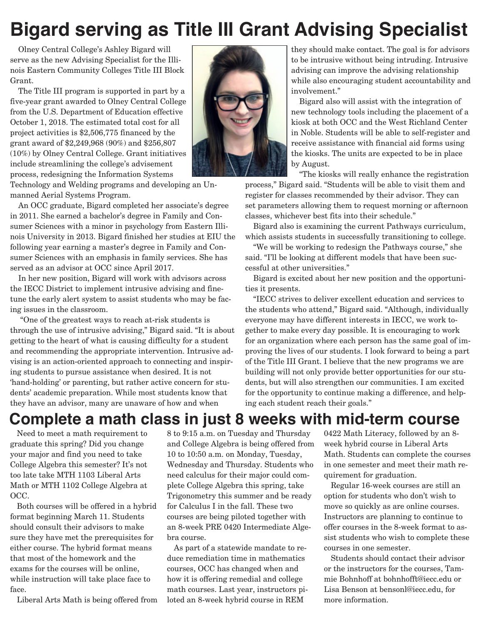# **Bigard serving as Title III Grant Advising Specialist**

Olney Central College's Ashley Bigard will serve as the new Advising Specialist for the Illinois Eastern Community Colleges Title III Block Grant.

The Title III program is supported in part by a five-year grant awarded to Olney Central College from the U.S. Department of Education effective October 1, 2018. The estimated total cost for all project activities is \$2,506,775 financed by the grant award of \$2,249,968 (90%) and \$256,807 (10%) by Olney Central College. Grant initiatives include streamlining the college's advisement process, redesigning the Information Systems



Technology and Welding programs and developing an Unmanned Aerial Systems Program.

An OCC graduate, Bigard completed her associate's degree in 2011. She earned a bachelor's degree in Family and Consumer Sciences with a minor in psychology from Eastern Illinois University in 2013. Bigard finished her studies at EIU the following year earning a master's degree in Family and Consumer Sciences with an emphasis in family services. She has served as an advisor at OCC since April 2017.

In her new position, Bigard will work with advisors across the IECC District to implement intrusive advising and finetune the early alert system to assist students who may be facing issues in the classroom.

"One of the greatest ways to reach at-risk students is through the use of intrusive advising," Bigard said. "It is about getting to the heart of what is causing difficulty for a student and recommending the appropriate intervention. Intrusive advising is an action-oriented approach to connecting and inspiring students to pursue assistance when desired. It is not 'hand-holding' or parenting, but rather active concern for students' academic preparation. While most students know that they have an advisor, many are unaware of how and when

they should make contact. The goal is for advisors to be intrusive without being intruding. Intrusive advising can improve the advising relationship while also encouraging student accountability and involvement."

Bigard also will assist with the integration of new technology tools including the placement of a kiosk at both OCC and the West Richland Center in Noble. Students will be able to self-register and receive assistance with financial aid forms using the kiosks. The units are expected to be in place by August.

"The kiosks will really enhance the registration

process," Bigard said. "Students will be able to visit them and register for classes recommended by their advisor. They can set parameters allowing them to request morning or afternoon classes, whichever best fits into their schedule."

Bigard also is examining the current Pathways curriculum, which assists students in successfully transitioning to college.

"We will be working to redesign the Pathways course," she said. "I'll be looking at different models that have been successful at other universities."

Bigard is excited about her new position and the opportunities it presents.

"IECC strives to deliver excellent education and services to the students who attend," Bigard said. "Although, individually everyone may have different interests in IECC, we work together to make every day possible. It is encouraging to work for an organization where each person has the same goal of improving the lives of our students. I look forward to being a part of the Title III Grant. I believe that the new programs we are building will not only provide better opportunities for our students, but will also strengthen our communities. I am excited for the opportunity to continue making a difference, and helping each student reach their goals."

## **Complete a math class in just 8 weeks with mid-term course**

Need to meet a math requirement to graduate this spring? Did you change your major and find you need to take College Algebra this semester? It's not too late take MTH 1103 Liberal Arts Math or MTH 1102 College Algebra at OCC.

Both courses will be offered in a hybrid format beginning March 11. Students should consult their advisors to make sure they have met the prerequisites for either course. The hybrid format means that most of the homework and the exams for the courses will be online, while instruction will take place face to face.

Liberal Arts Math is being offered from

8 to 9:15 a.m. on Tuesday and Thursday and College Algebra is being offered from 10 to 10:50 a.m. on Monday, Tuesday, Wednesday and Thursday. Students who need calculus for their major could complete College Algebra this spring, take Trigonometry this summer and be ready for Calculus I in the fall. These two courses are being piloted together with an 8-week PRE 0420 Intermediate Algebra course.

As part of a statewide mandate to reduce remediation time in mathematics courses, OCC has changed when and how it is offering remedial and college math courses. Last year, instructors piloted an 8-week hybrid course in REM

0422 Math Literacy, followed by an 8 week hybrid course in Liberal Arts Math. Students can complete the courses in one semester and meet their math requirement for graduation.

Regular 16-week courses are still an option for students who don't wish to move so quickly as are online courses. Instructors are planning to continue to offer courses in the 8-week format to assist students who wish to complete these courses in one semester.

Students should contact their advisor or the instructors for the courses, Tammie Bohnhoff at bohnhofft@iecc.edu or Lisa Benson at bensonl@iecc.edu, for more information.